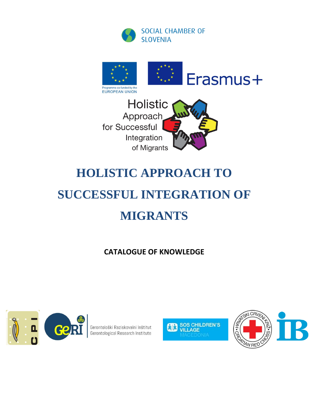





# **HOLISTIC APPROACH TO**

# **SUCCESSFUL INTEGRATION OF MIGRANTS**

**CATALOGUE OF KNOWLEDGE**



Gerontološki Raziskovalni Inštitut Gerontological Research Institute



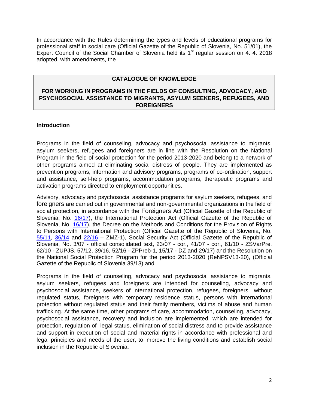In accordance with the Rules determining the types and levels of educational programs for professional staff in social care (Official Gazette of the Republic of Slovenia, No. 51/01), the Expert Council of the Social Chamber of Slovenia held its  $1<sup>st</sup>$  regular session on 4. 4. 2018 adopted, with amendments, the

#### **CATALOGUE OF KNOWLEDGE**

#### **FOR WORKING IN PROGRAMS IN THE FIELDS OF CONSULTING, ADVOCACY, AND PSYCHOSOCIAL ASSISTANCE TO MIGRANTS, ASYLUM SEEKERS, REFUGEES, AND FOREIGNERS**

#### **Introduction**

Programs in the field of counseling, advocacy and psychosocial assistance to migrants, asylum seekers, refugees and foreigners are in line with the Resolution on the National Program in the field of social protection for the period 2013-2020 and belong to a network of other programs aimed at eliminating social distress of people. They are implemented as prevention programs, information and advisory programs, programs of co-ordination, support and assistance, self-help programs, accommodation programs, therapeutic programs and activation programs directed to employment opportunities.

Advisory, advocacy and psychosocial assistance programs for asylum seekers, refugees, and foreigners are carried out in governmental and non-governmental organizations in the field of social protection, in accordance with the Foreigners Act (Official Gazette of the Republic of Slovenia, No. [16/17\)](http://www.uradni-list.si/1/objava.jsp?sop=2017-01-0802), the International Protection Act (Official Gazette of the Republic of Slovenia, No. [16/17\)](http://www.uradni-list.si/1/objava.jsp?sop=2017-01-0803), the Decree on the Methods and Conditions for the Provision of Rights to Persons with International Protection (Official Gazette of the Republic of Slovenia, No. [55/11,](http://www.uradni-list.si/1/objava.jsp?sop=2011-01-2603) [36/14](http://www.uradni-list.si/1/objava.jsp?sop=2014-01-1507) and [22/16](http://www.uradni-list.si/1/objava.jsp?sop=2016-01-0830) – ZMZ-1), Social Security Act (Official Gazette of the Republic of Slovenia, No. 3/07 - official consolidated text, 23/07 - cor., 41/07 - cor., 61/10 - ZSVarPre, 62/10 - ZUPJS, 57/12, 39/16, 52/16 - ZPPreb-1, 15/17 - DZ and 29/17) and the Resolution on the National Social Protection Program for the period 2013-2020 (ReNPSV13-20), (Official Gazette of the Republic of Slovenia 39/13) and

Programs in the field of counseling, advocacy and psychosocial assistance to migrants, asylum seekers, refugees and foreigners are intended for counseling, advocacy and psychosocial assistance, seekers of international protection, refugees, foreigners without regulated status, foreigners with temporary residence status, persons with international protection without regulated status and their family members, victims of abuse and human trafficking. At the same time, other programs of care, accommodation, counseling, advocacy, psychosocial assistance, recovery and inclusion are implemented, which are intended for protection, regulation of legal status, elimination of social distress and to provide assistance and support in execution of social and material rights in accordance with professional and legal principles and needs of the user, to improve the living conditions and establish social inclusion in the Republic of Slovenia.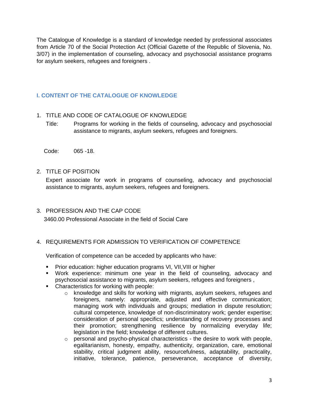The Catalogue of Knowledge is a standard of knowledge needed by professional associates from Article 70 of the Social Protection Act (Official Gazette of the Republic of Slovenia, No. 3/07) in the implementation of counseling, advocacy and psychosocial assistance programs for asylum seekers, refugees and foreigners .

# **I. CONTENT OF THE CATALOGUE OF KNOWLEDGE**

#### 1. TITLE AND CODE OF CATALOGUE OF KNOWLEDGE

Title: Programs for working in the fields of counseling, advocacy and psychosocial assistance to migrants, asylum seekers, refugees and foreigners.

Code: 065 -18.

#### 2. TITLE OF POSITION

Expert associate for work in programs of counseling, advocacy and psychosocial assistance to migrants, asylum seekers, refugees and foreigners.

3. PROFESSION AND THE CAP CODE 3460.00 Professional Associate in the field of Social Care

#### 4. REQUIREMENTS FOR ADMISSION TO VERIFICATION OF COMPETENCE

Verification of competence can be acceded by applicants who have:

- **Prior education: higher education programs VI, VII, VIII or higher**
- Work experience: minimum one year in the field of counseling, advocacy and psychosocial assistance to migrants, asylum seekers, refugees and foreigners ,
- Characteristics for working with people:
	- $\circ$  knowledge and skills for working with migrants, asylum seekers, refugees and foreigners, namely: appropriate, adjusted and effective communication; managing work with individuals and groups; mediation in dispute resolution; cultural competence, knowledge of non-discriminatory work; gender expertise; consideration of personal specifics; understanding of recovery processes and their promotion; strengthening resilience by normalizing everyday life; legislation in the field; knowledge of different cultures.
	- o personal and psycho-physical characteristics the desire to work with people, egalitarianism, honesty, empathy, authenticity, organization, care, emotional stability, critical judgment ability, resourcefulness, adaptability, practicality, initiative, tolerance, patience, perseverance, acceptance of diversity,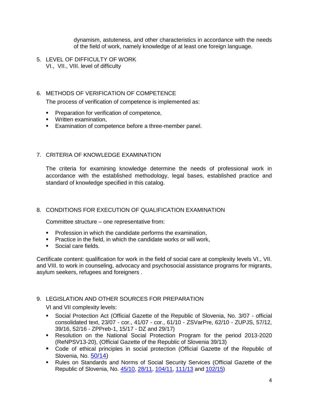dynamism, astuteness, and other characteristics in accordance with the needs of the field of work, namely knowledge of at least one foreign language.

5. LEVEL OF DIFFICULTY OF WORK VI., VII., VIII. level of difficulty

#### 6. METHODS OF VERIFICATION OF COMPETENCE

The process of verification of competence is implemented as:

- **Preparation for verification of competence,**
- **Written examination,**
- **Examination of competence before a three-member panel.**

## 7. CRITERIA OF KNOWLEDGE EXAMINATION

The criteria for examining knowledge determine the needs of professional work in accordance with the established methodology, legal bases, established practice and standard of knowledge specified in this catalog.

#### 8. CONDITIONS FOR EXECUTION OF QUALIFICATION EXAMINATION

Committee structure – one representative from:

- **Profession in which the candidate performs the examination,**
- **Practice in the field, in which the candidate works or will work,**
- **Social care fields.**

Certificate content: qualification for work in the field of social care at complexity levels VI., VII. and VIII. to work in counseling, advocacy and psychosocial assistance programs for migrants, asylum seekers, refugees and foreigners .

#### 9. LEGISLATION AND OTHER SOURCES FOR PREPARATION

VI and VII complexity levels:

- Social Protection Act (Official Gazette of the Republic of Slovenia, No. 3/07 official consolidated text, 23/07 - cor., 41/07 - cor., 61/10 - ZSVarPre, 62/10 - ZUPJS, 57/12, 39/16, 52/16 - ZPPreb-1, 15/17 - DZ and 29/17)
- Resolution on the National Social Protection Program for the period 2013-2020 (ReNPSV13-20), (Official Gazette of the Republic of Slovenia 39/13)
- Code of ethical principles in social protection (Official Gazette of the Republic of Slovenia, No. [50/14\)](http://www.uradni-list.si/1/objava.jsp?sop=2014-01-2101)
- Rules on Standards and Norms of Social Security Services (Official Gazette of the Republic of Slovenia, No. [45/10,](http://www.uradni-list.si/1/objava.jsp?sop=2010-01-2321) [28/11,](http://www.uradni-list.si/1/objava.jsp?sop=2011-01-1306) [104/11,](http://www.uradni-list.si/1/objava.jsp?sop=2011-01-4529) [111/13](http://www.uradni-list.si/1/objava.jsp?sop=2013-01-4136) and [102/15\)](http://www.uradni-list.si/1/objava.jsp?sop=2015-01-4092)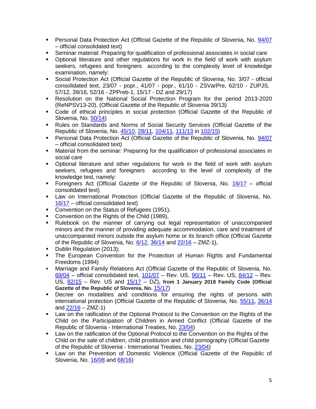- **Personal Data Protection Act (Official Gazette of the Republic of Slovenia, No. [94/07](http://www.uradni-list.si/1/objava.jsp?sop=2007-01-4690)** – official consolidated text)
- Seminar material: Preparing for qualification of professional associates in social care
- Optional literature and other regulations for work in the field of work with asylum seekers, refugees and foreigners according to the complexity level of knowledge examination, namely:
- Social Protection Act (Official Gazette of the Republic of Slovenia, No. 3/07 official consolidated text, 23/07 - popr., 41/07 - popr., 61/10 - ZSVarPre, 62/10 - ZUPJS, 57/12, 39/16, 52/16 - ZPPreb-1, 15/17 - DZ and 29/17)
- Resolution on the National Social Protection Program for the period 2013-2020 (ReNPSV13-20), (Official Gazette of the Republic of Slovenia 39/13)
- Code of ethical principles in social protection (Official Gazette of the Republic of Slovenia, No. [50/14\)](http://www.uradni-list.si/1/objava.jsp?sop=2014-01-2101)
- Rules on Standards and Norms of Social Security Services (Official Gazette of the Republic of Slovenia, No. [45/10,](http://www.uradni-list.si/1/objava.jsp?sop=2010-01-2321) [28/11,](http://www.uradni-list.si/1/objava.jsp?sop=2011-01-1306) [104/11,](http://www.uradni-list.si/1/objava.jsp?sop=2011-01-4529) [111/13](http://www.uradni-list.si/1/objava.jsp?sop=2013-01-4136) in [102/15\)](http://www.uradni-list.si/1/objava.jsp?sop=2015-01-4092)
- **Personal Data Protection Act (Official Gazette of the Republic of Slovenia, No. [94/07](http://www.uradni-list.si/1/objava.jsp?sop=2007-01-4690)** – official consolidated text)
- Material from the seminar: Preparing for the qualification of professional associates in social care
- Optional literature and other regulations for work in the field of work with asylum seekers, refugees and foreigners according to the level of complexity of the knowledge test, namely:
- Foreigners Act (Official Gazette of the Republic of Slovenia, No. [16/17](http://www.uradni-list.si/1/objava.jsp?sop=2017-01-0802) official consolidated text)
- Law on International Protection (Official Gazette of the Republic of Slovenia, No. [16/17](http://www.uradni-list.si/1/objava.jsp?sop=2017-01-0803) – official consolidated text)
- Convention on the Status of Refugees (1951),
- Convention on the Rights of the Child (1989),
- Rulebook on the manner of carrying out legal representation of unaccompanied minors and the manner of providing adequate accommodation, care and treatment of unaccompanied minors outside the asylum home or its branch office (Official Gazette of the Republic of Slovenia, No. [6/12,](http://www.uradni-list.si/1/objava.jsp?sop=2012-01-0207) [36/14](http://www.uradni-list.si/1/objava.jsp?sop=2014-01-1512) and [22/16](http://www.uradni-list.si/1/objava.jsp?sop=2016-01-0830) – ZMZ-1),
- Dublin Regulation (2013);
- The European Convention for the Protection of Human Rights and Fundamental Freedoms (1994)
- Marriage and Family Relations Act (Official Gazette of the Republic of Slovenia, No.  $69/04$  – official consolidated text,  $101/07$  – Rev. US,  $90/11$  – Rev. US,  $84/12$  – Rev. US, [82/15](http://www.uradni-list.si/1/objava.jsp?sop=2015-01-3269) – Rev. US and [15/17](http://www.uradni-list.si/1/objava.jsp?sop=2017-01-0729) – DZ)**, from 1 January 2018 Family Code (Official**  Gazette of the Republic of Slovenia, No.  $15/17$ )
- Decree on modalities and conditions for ensuring the rights of persons with international protection (Official Gazette of the Republic of Slovenia, No. [55/11,](http://www.uradni-list.si/1/objava.jsp?sop=2011-01-2603) [36/14](http://www.uradni-list.si/1/objava.jsp?sop=2014-01-1507) and  $22/16 - ZMZ-1$ )
- Law on the ratification of the Optional Protocol to the Convention on the Rights of the Child on the Participation of Children in Armed Conflict (Official Gazette of the Republic of Slovenia - International Treaties, No. [23/04\)](http://www.uradni-list.si/1/objava.jsp?sop=2004-02-0094)
- Law on the ratification of the Optional Protocol to the Convention on the Rights of the Child on the sale of children, child prostitution and child pornography (Official Gazette of the Republic of Slovenia - International Treaties, No. [23/04\)](http://www.uradni-list.si/1/objava.jsp?sop=2004-02-0095)
- Law on the Prevention of Domestic Violence (Official Gazette of the Republic of Slovenia, No. [16/08](http://www.uradni-list.si/1/objava.jsp?sop=2008-01-0487) and [68/16\)](http://www.uradni-list.si/1/objava.jsp?sop=2016-01-2931)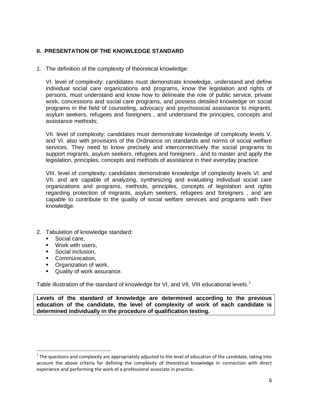# **II. PRESENTATION OF THE KNOWLEDGE STANDARD**

1. The definition of the complexity of theoretical knowledge:

VI. level of complexity: candidates must demonstrate knowledge, understand and define individual social care organizations and programs, know the legislation and rights of persons, must understand and know how to delineate the role of public service, private work, concessions and social care programs, and possess detailed knowledge on social programs in the field of counseling, advocacy and psychosocial assistance to migrants, asylum seekers, refugees and foreigners , and understand the principles, concepts and assistance methods;

VII. level of complexity: candidates must demonstrate knowledge of complexity levels V. and VI. also with provisions of the Ordinance on standards and norms of social welfare services. They need to know precisely and interconnectively the social programs to support migrants, asylum seekers, refugees and foreigners , and to master and apply the legislation, principles, concepts and methods of assistance in their everyday practice.

VIII. level of complexity: candidates demonstrate knowledge of complexity levels VI. and VII. and are capable of analyzing, synthesizing and evaluating individual social care organizations and programs, methods, principles, concepts of legislation and rights regarding protection of migrants, asylum seekers, refugees and foreigners , and are capable to contribute to the quality of social welfare services and programs with their knowledge.

- 2. Tabulation of knowledge standard:
	- Social care,

 $\overline{\phantom{a}}$ 

- **Work with users.**
- **Social inclusion.**
- **•** Communication,
- **•** Organization of work,
- Quality of work assurance.

Table illustration of the standard of knowledge for VI, and VII, VIII educational levels.<sup>1</sup>

**Levels of the standard of knowledge are determined according to the previous education of the candidate, the level of complexity of work of each candidate is determined individually in the procedure of qualification testing.** 

 $^1$  The questions and complexity are appropriately adjusted to the level of education of the candidate, taking into account the above criteria for defining the complexity of theoretical knowledge in connection with direct experience and performing the work of a professional associate in practice.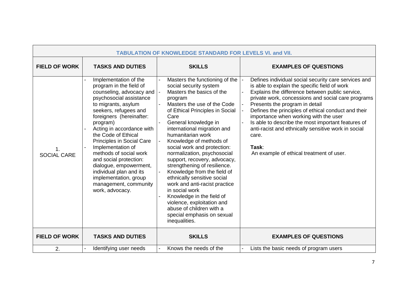| <b>TABULATION OF KNOWLEDGE STANDARD FOR LEVELS VI. and VII.</b> |                                                                                                                                                                                                                                                                                                                                                                                                                                                                                            |                                                                                                                                                                                                                                                                                                                                                                                                                                                                                                                                                                                                                                                                        |                                                                                                                                                                                                                                                                                                                                                                                                                                                                                                                             |  |  |  |
|-----------------------------------------------------------------|--------------------------------------------------------------------------------------------------------------------------------------------------------------------------------------------------------------------------------------------------------------------------------------------------------------------------------------------------------------------------------------------------------------------------------------------------------------------------------------------|------------------------------------------------------------------------------------------------------------------------------------------------------------------------------------------------------------------------------------------------------------------------------------------------------------------------------------------------------------------------------------------------------------------------------------------------------------------------------------------------------------------------------------------------------------------------------------------------------------------------------------------------------------------------|-----------------------------------------------------------------------------------------------------------------------------------------------------------------------------------------------------------------------------------------------------------------------------------------------------------------------------------------------------------------------------------------------------------------------------------------------------------------------------------------------------------------------------|--|--|--|
| <b>FIELD OF WORK</b>                                            | <b>TASKS AND DUTIES</b>                                                                                                                                                                                                                                                                                                                                                                                                                                                                    | <b>SKILLS</b>                                                                                                                                                                                                                                                                                                                                                                                                                                                                                                                                                                                                                                                          | <b>EXAMPLES OF QUESTIONS</b>                                                                                                                                                                                                                                                                                                                                                                                                                                                                                                |  |  |  |
| 1.<br><b>SOCIAL CARE</b>                                        | Implementation of the<br>program in the field of<br>counseling, advocacy and<br>psychosocial assistance<br>to migrants, asylum<br>seekers, refugees and<br>foreigners (hereinafter:<br>program)<br>Acting in accordance with<br>the Code of Ethical<br><b>Principles in Social Care</b><br>Implementation of<br>methods of social work<br>and social protection:<br>dialogue, empowerment,<br>individual plan and its<br>implementation, group<br>management, community<br>work, advocacy. | Masters the functioning of the<br>social security system<br>Masters the basics of the<br>program<br>Masters the use of the Code<br>of Ethical Principles in Social<br>Care<br>General knowledge in<br>international migration and<br>humanitarian work<br>Knowledge of methods of<br>social work and protection:<br>normalization, psychosocial<br>support, recovery, advocacy,<br>strengthening of resilience.<br>Knowledge from the field of<br>ethnically sensitive social<br>work and anti-racist practice<br>in social work<br>Knowledge in the field of<br>violence, exploitation and<br>abuse of children with a<br>special emphasis on sexual<br>inequalities. | Defines individual social security care services and<br>is able to explain the specific field of work<br>Explains the difference between public service,<br>private work, concessions and social care programs<br>Presents the program in detail<br>Defines the principles of ethical conduct and their<br>importance when working with the user<br>Is able to describe the most important features of<br>anti-racist and ethnically sensitive work in social<br>care.<br>Task:<br>An example of ethical treatment of user. |  |  |  |
| <b>FIELD OF WORK</b>                                            | <b>TASKS AND DUTIES</b>                                                                                                                                                                                                                                                                                                                                                                                                                                                                    | <b>SKILLS</b>                                                                                                                                                                                                                                                                                                                                                                                                                                                                                                                                                                                                                                                          | <b>EXAMPLES OF QUESTIONS</b>                                                                                                                                                                                                                                                                                                                                                                                                                                                                                                |  |  |  |
| 2.                                                              | Identifying user needs                                                                                                                                                                                                                                                                                                                                                                                                                                                                     | Knows the needs of the                                                                                                                                                                                                                                                                                                                                                                                                                                                                                                                                                                                                                                                 | Lists the basic needs of program users                                                                                                                                                                                                                                                                                                                                                                                                                                                                                      |  |  |  |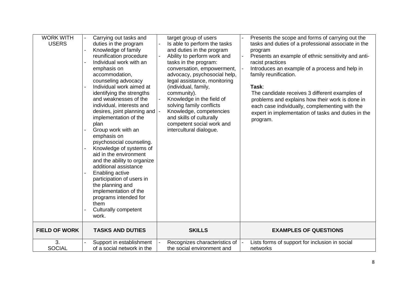| <b>WORK WITH</b><br><b>USERS</b> | Carrying out tasks and<br>duties in the program<br>Knowledge of family<br>reunification procedure<br>Individual work with an<br>emphasis on<br>accommodation,<br>counseling advocacy<br>Individual work aimed at<br>identifying the strengths<br>and weaknesses of the<br>individual, interests and<br>desires, joint planning and $\cdot$<br>implementation of the<br>plan<br>Group work with an<br>emphasis on<br>psychosocial counseling.<br>Knowledge of systems of<br>aid in the environment<br>and the ability to organize<br>additional assistance<br>Enabling active<br>participation of users in<br>the planning and<br>implementation of the<br>programs intended for<br>them<br><b>Culturally competent</b><br>work. | target group of users<br>Is able to perform the tasks<br>and duties in the program<br>Ability to perform work and<br>tasks in the program:<br>conversation, empowerment,<br>advocacy, psychosocial help,<br>legal assistance, monitoring<br>(individual, family,<br>community).<br>Knowledge in the field of<br>solving family conflicts<br>Knowledge, competencies<br>and skills of culturally<br>competent social work and<br>intercultural dialogue. | Presents the scope and forms of carrying out the<br>tasks and duties of a professional associate in the<br>program<br>Presents an example of ethnic sensitivity and anti-<br>racist practices<br>Introduces an example of a process and help in<br>family reunification.<br>Task:<br>The candidate receives 3 different examples of<br>problems and explains how their work is done in<br>each case individually, complementing with the<br>expert in implementation of tasks and duties in the<br>program. |
|----------------------------------|---------------------------------------------------------------------------------------------------------------------------------------------------------------------------------------------------------------------------------------------------------------------------------------------------------------------------------------------------------------------------------------------------------------------------------------------------------------------------------------------------------------------------------------------------------------------------------------------------------------------------------------------------------------------------------------------------------------------------------|---------------------------------------------------------------------------------------------------------------------------------------------------------------------------------------------------------------------------------------------------------------------------------------------------------------------------------------------------------------------------------------------------------------------------------------------------------|-------------------------------------------------------------------------------------------------------------------------------------------------------------------------------------------------------------------------------------------------------------------------------------------------------------------------------------------------------------------------------------------------------------------------------------------------------------------------------------------------------------|
| <b>FIELD OF WORK</b>             | <b>TASKS AND DUTIES</b>                                                                                                                                                                                                                                                                                                                                                                                                                                                                                                                                                                                                                                                                                                         | <b>SKILLS</b>                                                                                                                                                                                                                                                                                                                                                                                                                                           | <b>EXAMPLES OF QUESTIONS</b>                                                                                                                                                                                                                                                                                                                                                                                                                                                                                |
| 3.<br><b>SOCIAL</b>              | Support in establishment<br>of a social network in the                                                                                                                                                                                                                                                                                                                                                                                                                                                                                                                                                                                                                                                                          | Recognizes characteristics of<br>the social environment and                                                                                                                                                                                                                                                                                                                                                                                             | Lists forms of support for inclusion in social<br>networks                                                                                                                                                                                                                                                                                                                                                                                                                                                  |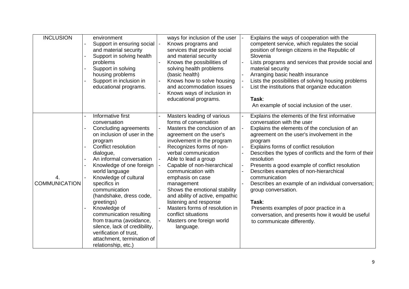| <b>INCLUSION</b>           | environment<br>Support in ensuring social<br>and material security<br>Support in solving health<br>problems<br>Support in solving<br>housing problems<br>Support in inclusion in<br>educational programs.                                                                                                                                                                                                                                                                                                          | ways for inclusion of the user<br>Knows programs and<br>services that provide social<br>and material security<br>Knows the possibilities of<br>solving health problems<br>(basic health)<br>Knows how to solve housing<br>and accommodation issues<br>Knows ways of inclusion in<br>educational programs.                                                                                                                                                                                                        | Explains the ways of cooperation with the<br>competent service, which regulates the social<br>position of foreign citizens in the Republic of<br>Slovenia<br>Lists programs and services that provide social and<br>material security<br>Arranging basic health insurance<br>Lists the possibilities of solving housing problems<br>List the institutions that organize education<br>Task:<br>An example of social inclusion of the user.                                                                                                                                                                                                  |
|----------------------------|--------------------------------------------------------------------------------------------------------------------------------------------------------------------------------------------------------------------------------------------------------------------------------------------------------------------------------------------------------------------------------------------------------------------------------------------------------------------------------------------------------------------|------------------------------------------------------------------------------------------------------------------------------------------------------------------------------------------------------------------------------------------------------------------------------------------------------------------------------------------------------------------------------------------------------------------------------------------------------------------------------------------------------------------|--------------------------------------------------------------------------------------------------------------------------------------------------------------------------------------------------------------------------------------------------------------------------------------------------------------------------------------------------------------------------------------------------------------------------------------------------------------------------------------------------------------------------------------------------------------------------------------------------------------------------------------------|
| 4.<br><b>COMMUNICATION</b> | Informative first<br>conversation<br>Concluding agreements<br>on inclusion of user in the<br>program<br><b>Conflict resolution</b><br>dialogue,<br>An informal conversation<br>Knowledge of one foreign<br>world language<br>Knowledge of cultural<br>specifics in<br>communication<br>(handshake, dress code,<br>greetings)<br>Knowledge of<br>communication resulting<br>from trauma (avoidance,<br>silence, lack of credibility,<br>verification of trust,<br>attachment, termination of<br>relationship, etc.) | Masters leading of various<br>forms of conversation<br>Masters the conclusion of an<br>agreement on the user's<br>involvement in the program<br>Recognizes forms of non-<br>verbal communication<br>Able to lead a group<br>Capable of non-hierarchical<br>communication with<br>emphasis on case<br>management<br>Shows the emotional stability<br>and ability of active, empathic<br>listening and response<br>Masters forms of resolution in<br>conflict situations<br>Masters one foreign world<br>language. | Explains the elements of the first informative<br>conversation with the user<br>Explains the elements of the conclusion of an<br>agreement on the user's involvement in the<br>program<br>Explains forms of conflict resolution<br>Describes the types of conflicts and the form of their<br>resolution<br>Presents a good example of conflict resolution<br>Describes examples of non-hierarchical<br>communication<br>Describes an example of an individual conversation;<br>group conversation.<br>Task:<br>Presents examples of poor practice in a<br>conversation, and presents how it would be useful<br>to communicate differently. |